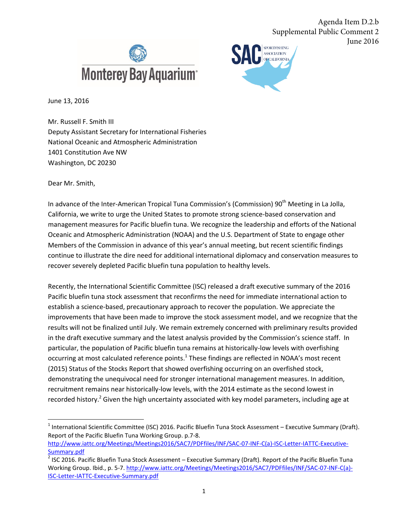



Agenda Item D.2.b

June 2016

Supplemental Public Comment 2

June 13, 2016

Mr. Russell F. Smith III Deputy Assistant Secretary for International Fisheries National Oceanic and Atmospheric Administration 1401 Constitution Ave NW Washington, DC 20230

Dear Mr. Smith,

In advance of the Inter-American Tropical Tuna Commission's (Commission) 90<sup>th</sup> Meeting in La Jolla, California, we write to urge the United States to promote strong science-based conservation and management measures for Pacific bluefin tuna. We recognize the leadership and efforts of the National Oceanic and Atmospheric Administration (NOAA) and the U.S. Department of State to engage other Members of the Commission in advance of this year's annual meeting, but recent scientific findings continue to illustrate the dire need for additional international diplomacy and conservation measures to recover severely depleted Pacific bluefin tuna population to healthy levels.

Recently, the International Scientific Committee (ISC) released a draft executive summary of the 2016 Pacific bluefin tuna stock assessment that reconfirms the need for immediate international action to establish a science-based, precautionary approach to recover the population. We appreciate the improvements that have been made to improve the stock assessment model, and we recognize that the results will not be finalized until July. We remain extremely concerned with preliminary results provided in the draft executive summary and the latest analysis provided by the Commission's science staff. In particular, the population of Pacific bluefin tuna remains at historically-low levels with overfishing occurring at most calculated reference points.<sup>1</sup> These findings are reflected in NOAA's most recent (2015) Status of the Stocks Report that showed overfishing occurring on an overfished stock, demonstrating the unequivocal need for stronger international management measures. In addition, recruitment remains near historically-low levels, with the 2014 estimate as the second lowest in recorded history.<sup>2</sup> Given the high uncertainty associated with key model parameters, including age at

<sup>&</sup>lt;sup>1</sup> International Scientific Committee (ISC) 2016. Pacific Bluefin Tuna Stock Assessment – Executive Summary (Draft). Report of the Pacific Bluefin Tuna Working Group. p.7-8. [http://www.iattc.org/Meetings/Meetings2016/SAC7/PDFfiles/INF/SAC-07-INF-C\(a\)-ISC-Letter-IATTC-Executive-](http://www.iattc.org/Meetings/Meetings2016/SAC7/PDFfiles/INF/SAC-07-INF-C(a)-ISC-Letter-IATTC-Executive-Summary.pdf)

Summary.pdf

 $^2$  ISC 2016. Pacific Bluefin Tuna Stock Assessment – Executive Summary (Draft). Report of the Pacific Bluefin Tuna Working Group. Ibid., p. 5-7[. http://www.iattc.org/Meetings/Meetings2016/SAC7/PDFfiles/INF/SAC-07-INF-C\(a\)-](http://www.iattc.org/Meetings/Meetings2016/SAC7/PDFfiles/INF/SAC-07-INF-C(a)-ISC-Letter-IATTC-Executive-Summary.pdf) [ISC-Letter-IATTC-Executive-Summary.pdf](http://www.iattc.org/Meetings/Meetings2016/SAC7/PDFfiles/INF/SAC-07-INF-C(a)-ISC-Letter-IATTC-Executive-Summary.pdf)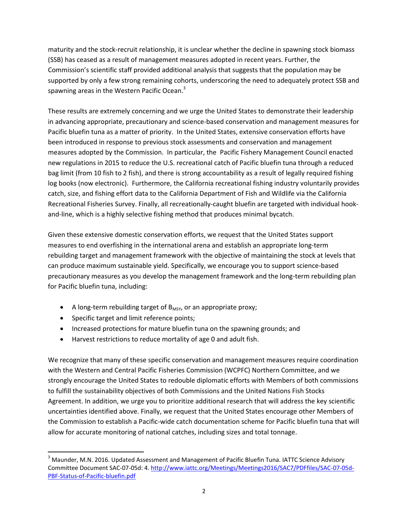maturity and the stock-recruit relationship, it is unclear whether the decline in spawning stock biomass (SSB) has ceased as a result of management measures adopted in recent years. Further, the Commission's scientific staff provided additional analysis that suggests that the population may be supported by only a few strong remaining cohorts, underscoring the need to adequately protect SSB and spawning areas in the Western Pacific Ocean.<sup>3</sup>

These results are extremely concerning and we urge the United States to demonstrate their leadership in advancing appropriate, precautionary and science-based conservation and management measures for Pacific bluefin tuna as a matter of priority. In the United States, extensive conservation efforts have been introduced in response to previous stock assessments and conservation and management measures adopted by the Commission. In particular, the Pacific Fishery Management Council enacted new regulations in 2015 to reduce the U.S. recreational catch of Pacific bluefin tuna through a reduced bag limit (from 10 fish to 2 fish), and there is strong accountability as a result of legally required fishing log books (now electronic). Furthermore, the California recreational fishing industry voluntarily provides catch, size, and fishing effort data to the California Department of Fish and Wildlife via the California Recreational Fisheries Survey. Finally, all recreationally-caught bluefin are targeted with individual hookand-line, which is a highly selective fishing method that produces minimal bycatch.

Given these extensive domestic conservation efforts, we request that the United States support measures to end overfishing in the international arena and establish an appropriate long-term rebuilding target and management framework with the objective of maintaining the stock at levels that can produce maximum sustainable yield. Specifically, we encourage you to support science-based precautionary measures as you develop the management framework and the long-term rebuilding plan for Pacific bluefin tuna, including:

- $\bullet$  A long-term rebuilding target of  $B_{MSY}$ , or an appropriate proxy;
- Specific target and limit reference points;

 $\overline{\phantom{a}}$ 

- Increased protections for mature bluefin tuna on the spawning grounds; and
- Harvest restrictions to reduce mortality of age 0 and adult fish.

We recognize that many of these specific conservation and management measures require coordination with the Western and Central Pacific Fisheries Commission (WCPFC) Northern Committee, and we strongly encourage the United States to redouble diplomatic efforts with Members of both commissions to fulfill the sustainability objectives of both Commissions and the United Nations Fish Stocks Agreement. In addition, we urge you to prioritize additional research that will address the key scientific uncertainties identified above. Finally, we request that the United States encourage other Members of the Commission to establish a Pacific-wide catch documentation scheme for Pacific bluefin tuna that will allow for accurate monitoring of national catches, including sizes and total tonnage.

<sup>&</sup>lt;sup>3</sup> Maunder, M.N. 2016. Updated Assessment and Management of Pacific Bluefin Tuna. IATTC Science Advisory Committee Document SAC-07-05d: 4[. http://www.iattc.org/Meetings/Meetings2016/SAC7/PDFfiles/SAC-07-05d-](http://www.iattc.org/Meetings/Meetings2016/SAC7/PDFfiles/SAC-07-05d-PBF-Status-of-Pacific-bluefin.pdf)[PBF-Status-of-Pacific-bluefin.pdf](http://www.iattc.org/Meetings/Meetings2016/SAC7/PDFfiles/SAC-07-05d-PBF-Status-of-Pacific-bluefin.pdf)